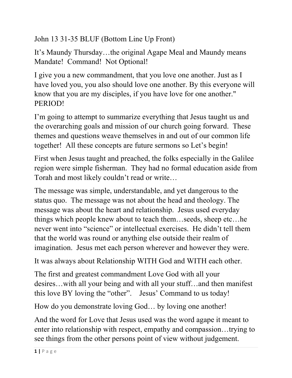John 13 31-35 BLUF (Bottom Line Up Front)

It's Maundy Thursday…the original Agape Meal and Maundy means Mandate! Command! Not Optional!

I give you a new commandment, that you love one another. Just as I have loved you, you also should love one another. By this everyone will know that you are my disciples, if you have love for one another." PERIOD!

I'm going to attempt to summarize everything that Jesus taught us and the overarching goals and mission of our church going forward. These themes and questions weave themselves in and out of our common life together! All these concepts are future sermons so Let's begin!

First when Jesus taught and preached, the folks especially in the Galilee region were simple fisherman. They had no formal education aside from Torah and most likely couldn't read or write…

The message was simple, understandable, and yet dangerous to the status quo. The message was not about the head and theology. The message was about the heart and relationship. Jesus used everyday things which people knew about to teach them…seeds, sheep etc…he never went into "science" or intellectual exercises. He didn't tell them that the world was round or anything else outside their realm of imagination. Jesus met each person wherever and however they were.

It was always about Relationship WITH God and WITH each other.

The first and greatest commandment Love God with all your desires…with all your being and with all your stuff…and then manifest this love BY loving the "other". Jesus' Command to us today!

How do you demonstrate loving God… by loving one another!

And the word for Love that Jesus used was the word agape it meant to enter into relationship with respect, empathy and compassion…trying to see things from the other persons point of view without judgement.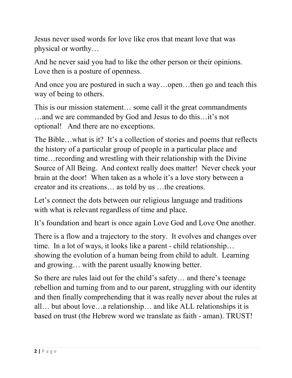Jesus never used words for love like eros that meant love that was physical or worthy…

And he never said you had to like the other person or their opinions. Love then is a posture of openness.

And once you are postured in such a way...open...then go and teach this way of being to others.

This is our mission statement… some call it the great commandments …and we are commanded by God and Jesus to do this…it's not optional! And there are no exceptions.

The Bible…what is it? It's a collection of stories and poems that reflects the history of a particular group of people in a particular place and time…recording and wrestling with their relationship with the Divine Source of All Being. And context really does matter! Never check your brain at the door! When taken as a whole it's a love story between a creator and its creations… as told by us …the creations.

Let's connect the dots between our religious language and traditions with what is relevant regardless of time and place.

It's foundation and heart is once again Love God and Love One another.

There is a flow and a trajectory to the story. It evolves and changes over time. In a lot of ways, it looks like a parent - child relationship… showing the evolution of a human being from child to adult. Learning and growing… with the parent usually knowing better.

So there are rules laid out for the child's safety… and there's teenage rebellion and turning from and to our parent, struggling with our identity and then finally comprehending that it was really never about the rules at all… but about love…a relationship… and like ALL relationships it is based on trust (the Hebrew word we translate as faith - aman). TRUST!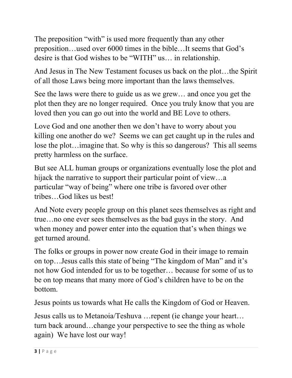The preposition "with" is used more frequently than any other preposition…used over 6000 times in the bible…It seems that God's desire is that God wishes to be "WITH" us… in relationship.

And Jesus in The New Testament focuses us back on the plot…the Spirit of all those Laws being more important than the laws themselves.

See the laws were there to guide us as we grew… and once you get the plot then they are no longer required. Once you truly know that you are loved then you can go out into the world and BE Love to others.

Love God and one another then we don't have to worry about you killing one another do we? Seems we can get caught up in the rules and lose the plot…imagine that. So why is this so dangerous? This all seems pretty harmless on the surface.

But see ALL human groups or organizations eventually lose the plot and hijack the narrative to support their particular point of view…a particular "way of being" where one tribe is favored over other tribes…God likes us best!

And Note every people group on this planet sees themselves as right and true…no one ever sees themselves as the bad guys in the story. And when money and power enter into the equation that's when things we get turned around.

The folks or groups in power now create God in their image to remain on top…Jesus calls this state of being "The kingdom of Man" and it's not how God intended for us to be together… because for some of us to be on top means that many more of God's children have to be on the bottom.

Jesus points us towards what He calls the Kingdom of God or Heaven.

Jesus calls us to Metanoia/Teshuva …repent (ie change your heart… turn back around…change your perspective to see the thing as whole again) We have lost our way!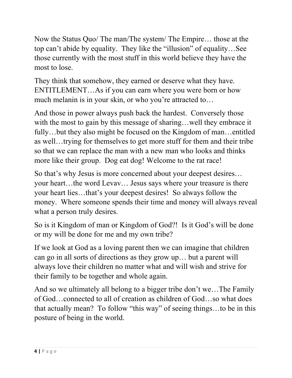Now the Status Quo/ The man/The system/ The Empire… those at the top can't abide by equality. They like the "illusion" of equality…See those currently with the most stuff in this world believe they have the most to lose.

They think that somehow, they earned or deserve what they have. ENTITLEMENT…As if you can earn where you were born or how much melanin is in your skin, or who you're attracted to…

And those in power always push back the hardest. Conversely those with the most to gain by this message of sharing... well they embrace it fully…but they also might be focused on the Kingdom of man…entitled as well…trying for themselves to get more stuff for them and their tribe so that we can replace the man with a new man who looks and thinks more like their group. Dog eat dog! Welcome to the rat race!

So that's why Jesus is more concerned about your deepest desires… your heart…the word Levav… Jesus says where your treasure is there your heart lies…that's your deepest desires! So always follow the money. Where someone spends their time and money will always reveal what a person truly desires.

So is it Kingdom of man or Kingdom of God?! Is it God's will be done or my will be done for me and my own tribe?

If we look at God as a loving parent then we can imagine that children can go in all sorts of directions as they grow up… but a parent will always love their children no matter what and will wish and strive for their family to be together and whole again.

And so we ultimately all belong to a bigger tribe don't we…The Family of God…connected to all of creation as children of God…so what does that actually mean? To follow "this way" of seeing things…to be in this posture of being in the world.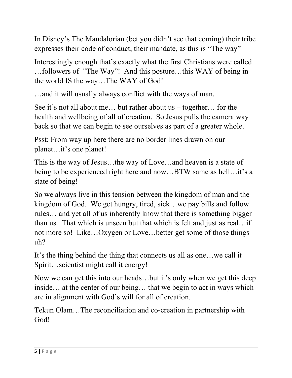In Disney's The Mandalorian (bet you didn't see that coming) their tribe expresses their code of conduct, their mandate, as this is "The way"

Interestingly enough that's exactly what the first Christians were called …followers of "The Way"! And this posture…this WAY of being in the world IS the way…The WAY of God!

…and it will usually always conflict with the ways of man.

See it's not all about me… but rather about us – together… for the health and wellbeing of all of creation. So Jesus pulls the camera way back so that we can begin to see ourselves as part of a greater whole.

Psst: From way up here there are no border lines drawn on our planet…it's one planet!

This is the way of Jesus…the way of Love…and heaven is a state of being to be experienced right here and now…BTW same as hell…it's a state of being!

So we always live in this tension between the kingdom of man and the kingdom of God. We get hungry, tired, sick…we pay bills and follow rules… and yet all of us inherently know that there is something bigger than us. That which is unseen but that which is felt and just as real…if not more so! Like…Oxygen or Love…better get some of those things uh?

It's the thing behind the thing that connects us all as one…we call it Spirit…scientist might call it energy!

Now we can get this into our heads…but it's only when we get this deep inside… at the center of our being… that we begin to act in ways which are in alignment with God's will for all of creation.

Tekun Olam…The reconciliation and co-creation in partnership with God!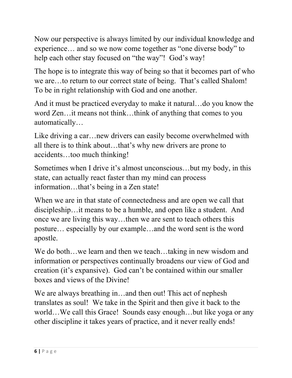Now our perspective is always limited by our individual knowledge and experience… and so we now come together as "one diverse body" to help each other stay focused on "the way"! God's way!

The hope is to integrate this way of being so that it becomes part of who we are…to return to our correct state of being. That's called Shalom! To be in right relationship with God and one another.

And it must be practiced everyday to make it natural…do you know the word Zen…it means not think…think of anything that comes to you automatically…

Like driving a car... new drivers can easily become overwhelmed with all there is to think about…that's why new drivers are prone to accidents…too much thinking!

Sometimes when I drive it's almost unconscious…but my body, in this state, can actually react faster than my mind can process information…that's being in a Zen state!

When we are in that state of connectedness and are open we call that discipleship…it means to be a humble, and open like a student. And once we are living this way…then we are sent to teach others this posture… especially by our example…and the word sent is the word apostle.

We do both...we learn and then we teach...taking in new wisdom and information or perspectives continually broadens our view of God and creation (it's expansive). God can't be contained within our smaller boxes and views of the Divine!

We are always breathing in...and then out! This act of nephesh translates as soul! We take in the Spirit and then give it back to the world…We call this Grace! Sounds easy enough…but like yoga or any other discipline it takes years of practice, and it never really ends!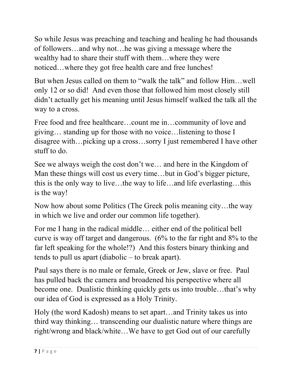So while Jesus was preaching and teaching and healing he had thousands of followers…and why not…he was giving a message where the wealthy had to share their stuff with them…where they were noticed…where they got free health care and free lunches!

But when Jesus called on them to "walk the talk" and follow Him…well only 12 or so did! And even those that followed him most closely still didn't actually get his meaning until Jesus himself walked the talk all the way to a cross.

Free food and free healthcare…count me in…community of love and giving… standing up for those with no voice…listening to those I disagree with…picking up a cross…sorry I just remembered I have other stuff to do.

See we always weigh the cost don't we… and here in the Kingdom of Man these things will cost us every time…but in God's bigger picture, this is the only way to live…the way to life…and life everlasting…this is the way!

Now how about some Politics (The Greek polis meaning city…the way in which we live and order our common life together).

For me I hang in the radical middle… either end of the political bell curve is way off target and dangerous. (6% to the far right and 8% to the far left speaking for the whole!?) And this fosters binary thinking and tends to pull us apart (diabolic – to break apart).

Paul says there is no male or female, Greek or Jew, slave or free. Paul has pulled back the camera and broadened his perspective where all become one. Dualistic thinking quickly gets us into trouble…that's why our idea of God is expressed as a Holy Trinity.

Holy (the word Kadosh) means to set apart…and Trinity takes us into third way thinking… transcending our dualistic nature where things are right/wrong and black/white…We have to get God out of our carefully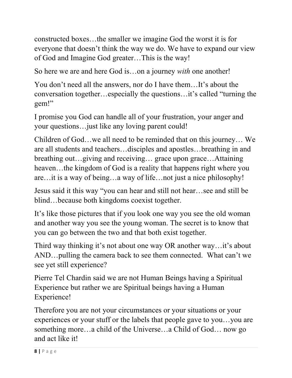constructed boxes…the smaller we imagine God the worst it is for everyone that doesn't think the way we do. We have to expand our view of God and Imagine God greater…This is the way!

So here we are and here God is…on a journey *with* one another!

You don't need all the answers, nor do I have them…It's about the conversation together…especially the questions…it's called "turning the gem!"

I promise you God can handle all of your frustration, your anger and your questions…just like any loving parent could!

Children of God…we all need to be reminded that on this journey… We are all students and teachers…disciples and apostles…breathing in and breathing out…giving and receiving… grace upon grace…Attaining heaven…the kingdom of God is a reality that happens right where you are…it is a way of being…a way of life…not just a nice philosophy!

Jesus said it this way "you can hear and still not hear…see and still be blind…because both kingdoms coexist together.

It's like those pictures that if you look one way you see the old woman and another way you see the young woman. The secret is to know that you can go between the two and that both exist together.

Third way thinking it's not about one way OR another way…it's about AND…pulling the camera back to see them connected. What can't we see yet still experience?

Pierre Tel Chardin said we are not Human Beings having a Spiritual Experience but rather we are Spiritual beings having a Human Experience!

Therefore you are not your circumstances or your situations or your experiences or your stuff or the labels that people gave to you…you are something more…a child of the Universe…a Child of God… now go and act like it!